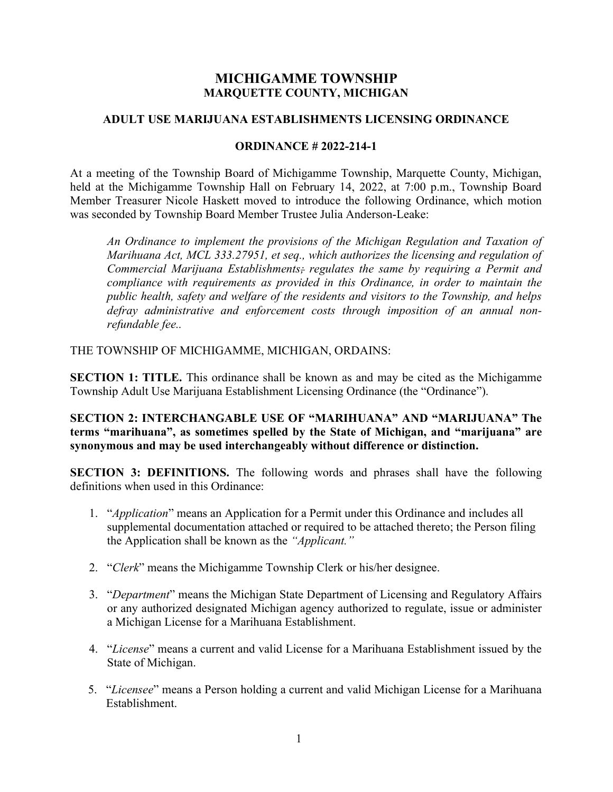## MICHIGAMME TOWNSHIP MARQUETTE COUNTY, MICHIGAN

#### ADULT USE MARIJUANA ESTABLISHMENTS LICENSING ORDINANCE

#### ORDINANCE # 2022-214-1

At a meeting of the Township Board of Michigamme Township, Marquette County, Michigan, held at the Michigamme Township Hall on February 14, 2022, at 7:00 p.m., Township Board Member Treasurer Nicole Haskett moved to introduce the following Ordinance, which motion was seconded by Township Board Member Trustee Julia Anderson-Leake:

An Ordinance to implement the provisions of the Michigan Regulation and Taxation of Marihuana Act, MCL 333.27951, et seq., which authorizes the licensing and regulation of Commercial Marijuana Establishments; regulates the same by requiring a Permit and compliance with requirements as provided in this Ordinance, in order to maintain the public health, safety and welfare of the residents and visitors to the Township, and helps defray administrative and enforcement costs through imposition of an annual nonrefundable fee..

THE TOWNSHIP OF MICHIGAMME, MICHIGAN, ORDAINS:

SECTION 1: TITLE. This ordinance shall be known as and may be cited as the Michigamme Township Adult Use Marijuana Establishment Licensing Ordinance (the "Ordinance").

SECTION 2: INTERCHANGABLE USE OF "MARIHUANA" AND "MARIJUANA" The terms "marihuana", as sometimes spelled by the State of Michigan, and "marijuana" are synonymous and may be used interchangeably without difference or distinction.

SECTION 3: DEFINITIONS. The following words and phrases shall have the following definitions when used in this Ordinance:

- 1. "Application" means an Application for a Permit under this Ordinance and includes all supplemental documentation attached or required to be attached thereto; the Person filing the Application shall be known as the "Applicant."
- 2. "Clerk" means the Michigamme Township Clerk or his/her designee.
- 3. "Department" means the Michigan State Department of Licensing and Regulatory Affairs or any authorized designated Michigan agency authorized to regulate, issue or administer a Michigan License for a Marihuana Establishment.
- 4. "License" means a current and valid License for a Marihuana Establishment issued by the State of Michigan.
- 5. "Licensee" means a Person holding a current and valid Michigan License for a Marihuana Establishment.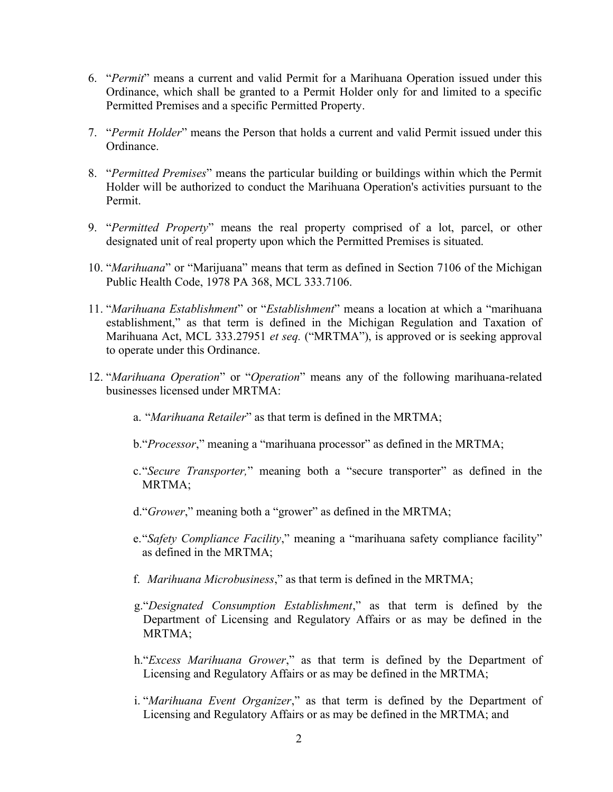- 6. "Permit" means a current and valid Permit for a Marihuana Operation issued under this Ordinance, which shall be granted to a Permit Holder only for and limited to a specific Permitted Premises and a specific Permitted Property.
- 7. "Permit Holder" means the Person that holds a current and valid Permit issued under this Ordinance.
- 8. "Permitted Premises" means the particular building or buildings within which the Permit Holder will be authorized to conduct the Marihuana Operation's activities pursuant to the Permit.
- 9. "Permitted Property" means the real property comprised of a lot, parcel, or other designated unit of real property upon which the Permitted Premises is situated.
- 10. "Marihuana" or "Marijuana" means that term as defined in Section 7106 of the Michigan Public Health Code, 1978 PA 368, MCL 333.7106.
- 11. "Marihuana Establishment" or "Establishment" means a location at which a "marihuana establishment," as that term is defined in the Michigan Regulation and Taxation of Marihuana Act, MCL 333.27951 et seq. ("MRTMA"), is approved or is seeking approval to operate under this Ordinance.
- 12. "Marihuana Operation" or "Operation" means any of the following marihuana-related businesses licensed under MRTMA:
	- a. "Marihuana Retailer" as that term is defined in the MRTMA;
	- b. "Processor," meaning a "marihuana processor" as defined in the MRTMA;
	- c."Secure Transporter," meaning both a "secure transporter" as defined in the MRTMA;
	- d."Grower," meaning both a "grower" as defined in the MRTMA;
	- e. "Safety Compliance Facility," meaning a "marihuana safety compliance facility" as defined in the MRTMA;
	- f. Marihuana Microbusiness," as that term is defined in the MRTMA;
	- g."Designated Consumption Establishment," as that term is defined by the Department of Licensing and Regulatory Affairs or as may be defined in the MRTMA;
	- h."Excess Marihuana Grower," as that term is defined by the Department of Licensing and Regulatory Affairs or as may be defined in the MRTMA;
	- i. "Marihuana Event Organizer," as that term is defined by the Department of Licensing and Regulatory Affairs or as may be defined in the MRTMA; and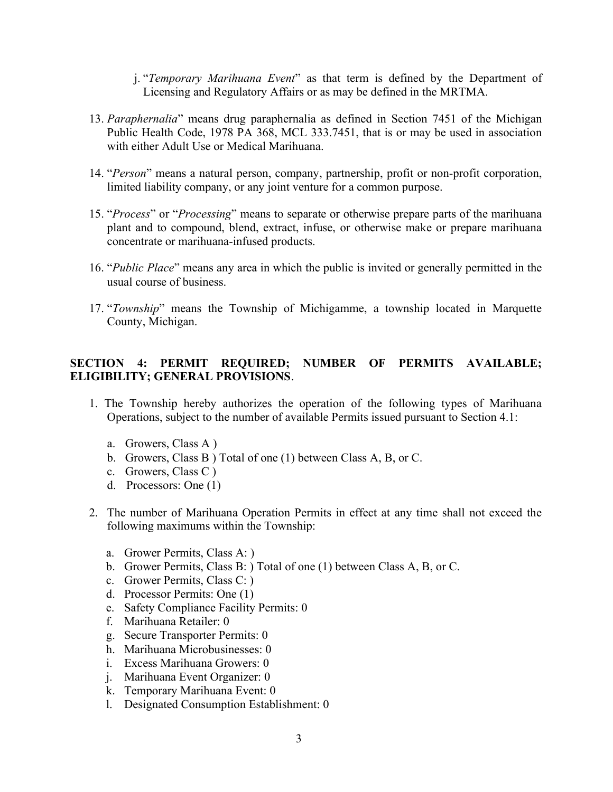j. "Temporary Marihuana Event" as that term is defined by the Department of Licensing and Regulatory Affairs or as may be defined in the MRTMA.

- 13. Paraphernalia" means drug paraphernalia as defined in Section 7451 of the Michigan Public Health Code, 1978 PA 368, MCL 333.7451, that is or may be used in association with either Adult Use or Medical Marihuana.
- 14. "Person" means a natural person, company, partnership, profit or non-profit corporation, limited liability company, or any joint venture for a common purpose.
- 15. "Process" or "Processing" means to separate or otherwise prepare parts of the marihuana plant and to compound, blend, extract, infuse, or otherwise make or prepare marihuana concentrate or marihuana-infused products.
- 16. "Public Place" means any area in which the public is invited or generally permitted in the usual course of business.
- 17. "Township" means the Township of Michigamme, a township located in Marquette County, Michigan.

## SECTION 4: PERMIT REQUIRED; NUMBER OF PERMITS AVAILABLE; ELIGIBILITY; GENERAL PROVISIONS.

- 1. The Township hereby authorizes the operation of the following types of Marihuana Operations, subject to the number of available Permits issued pursuant to Section 4.1:
	- a. Growers, Class A )
	- b. Growers, Class B ) Total of one (1) between Class A, B, or C.
	- c. Growers, Class C )
	- d. Processors: One (1)
- 2. The number of Marihuana Operation Permits in effect at any time shall not exceed the following maximums within the Township:
	- a. Grower Permits, Class A: )
	- b. Grower Permits, Class B: ) Total of one (1) between Class A, B, or C.
	- c. Grower Permits, Class C: )
	- d. Processor Permits: One (1)
	- e. Safety Compliance Facility Permits: 0
	- f. Marihuana Retailer: 0
	- g. Secure Transporter Permits: 0
	- h. Marihuana Microbusinesses: 0
	- i. Excess Marihuana Growers: 0
	- j. Marihuana Event Organizer: 0
	- k. Temporary Marihuana Event: 0
	- l. Designated Consumption Establishment: 0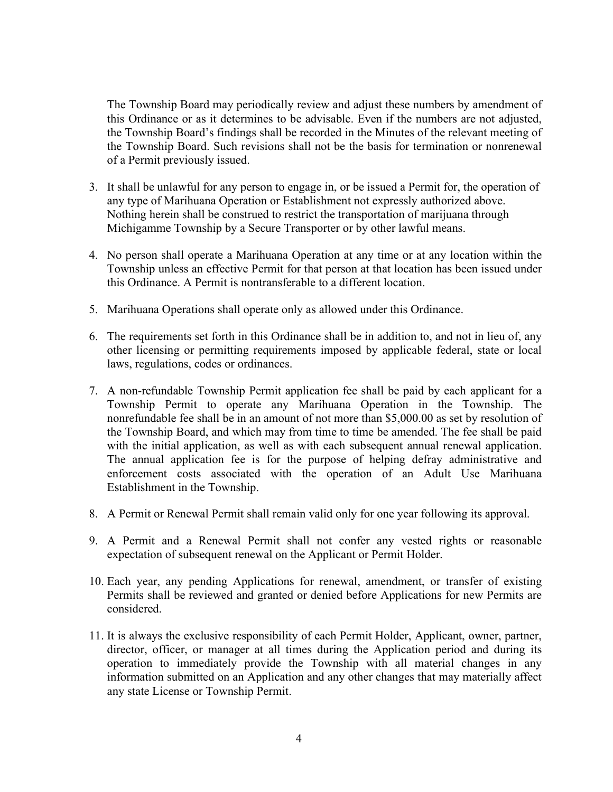The Township Board may periodically review and adjust these numbers by amendment of this Ordinance or as it determines to be advisable. Even if the numbers are not adjusted, the Township Board's findings shall be recorded in the Minutes of the relevant meeting of the Township Board. Such revisions shall not be the basis for termination or nonrenewal of a Permit previously issued.

- 3. It shall be unlawful for any person to engage in, or be issued a Permit for, the operation of any type of Marihuana Operation or Establishment not expressly authorized above. Nothing herein shall be construed to restrict the transportation of marijuana through Michigamme Township by a Secure Transporter or by other lawful means.
- 4. No person shall operate a Marihuana Operation at any time or at any location within the Township unless an effective Permit for that person at that location has been issued under this Ordinance. A Permit is nontransferable to a different location.
- 5. Marihuana Operations shall operate only as allowed under this Ordinance.
- 6. The requirements set forth in this Ordinance shall be in addition to, and not in lieu of, any other licensing or permitting requirements imposed by applicable federal, state or local laws, regulations, codes or ordinances.
- 7. A non-refundable Township Permit application fee shall be paid by each applicant for a Township Permit to operate any Marihuana Operation in the Township. The nonrefundable fee shall be in an amount of not more than \$5,000.00 as set by resolution of the Township Board, and which may from time to time be amended. The fee shall be paid with the initial application, as well as with each subsequent annual renewal application. The annual application fee is for the purpose of helping defray administrative and enforcement costs associated with the operation of an Adult Use Marihuana Establishment in the Township.
- 8. A Permit or Renewal Permit shall remain valid only for one year following its approval.
- 9. A Permit and a Renewal Permit shall not confer any vested rights or reasonable expectation of subsequent renewal on the Applicant or Permit Holder.
- 10. Each year, any pending Applications for renewal, amendment, or transfer of existing Permits shall be reviewed and granted or denied before Applications for new Permits are considered.
- 11. It is always the exclusive responsibility of each Permit Holder, Applicant, owner, partner, director, officer, or manager at all times during the Application period and during its operation to immediately provide the Township with all material changes in any information submitted on an Application and any other changes that may materially affect any state License or Township Permit.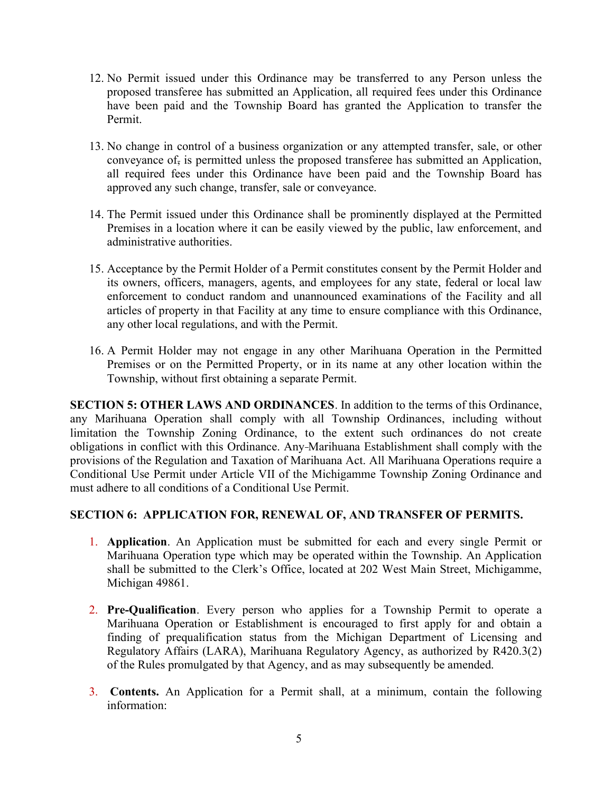- 12. No Permit issued under this Ordinance may be transferred to any Person unless the proposed transferee has submitted an Application, all required fees under this Ordinance have been paid and the Township Board has granted the Application to transfer the Permit.
- 13. No change in control of a business organization or any attempted transfer, sale, or other conveyance of, is permitted unless the proposed transferee has submitted an Application, all required fees under this Ordinance have been paid and the Township Board has approved any such change, transfer, sale or conveyance.
- 14. The Permit issued under this Ordinance shall be prominently displayed at the Permitted Premises in a location where it can be easily viewed by the public, law enforcement, and administrative authorities.
- 15. Acceptance by the Permit Holder of a Permit constitutes consent by the Permit Holder and its owners, officers, managers, agents, and employees for any state, federal or local law enforcement to conduct random and unannounced examinations of the Facility and all articles of property in that Facility at any time to ensure compliance with this Ordinance, any other local regulations, and with the Permit.
- 16. A Permit Holder may not engage in any other Marihuana Operation in the Permitted Premises or on the Permitted Property, or in its name at any other location within the Township, without first obtaining a separate Permit.

SECTION 5: OTHER LAWS AND ORDINANCES. In addition to the terms of this Ordinance, any Marihuana Operation shall comply with all Township Ordinances, including without limitation the Township Zoning Ordinance, to the extent such ordinances do not create obligations in conflict with this Ordinance. Any Marihuana Establishment shall comply with the provisions of the Regulation and Taxation of Marihuana Act. All Marihuana Operations require a Conditional Use Permit under Article VII of the Michigamme Township Zoning Ordinance and must adhere to all conditions of a Conditional Use Permit.

## SECTION 6: APPLICATION FOR, RENEWAL OF, AND TRANSFER OF PERMITS.

- 1. Application. An Application must be submitted for each and every single Permit or Marihuana Operation type which may be operated within the Township. An Application shall be submitted to the Clerk's Office, located at 202 West Main Street, Michigamme, Michigan 49861.
- 2. Pre-Qualification. Every person who applies for a Township Permit to operate a Marihuana Operation or Establishment is encouraged to first apply for and obtain a finding of prequalification status from the Michigan Department of Licensing and Regulatory Affairs (LARA), Marihuana Regulatory Agency, as authorized by R420.3(2) of the Rules promulgated by that Agency, and as may subsequently be amended.
- 3. Contents. An Application for a Permit shall, at a minimum, contain the following information: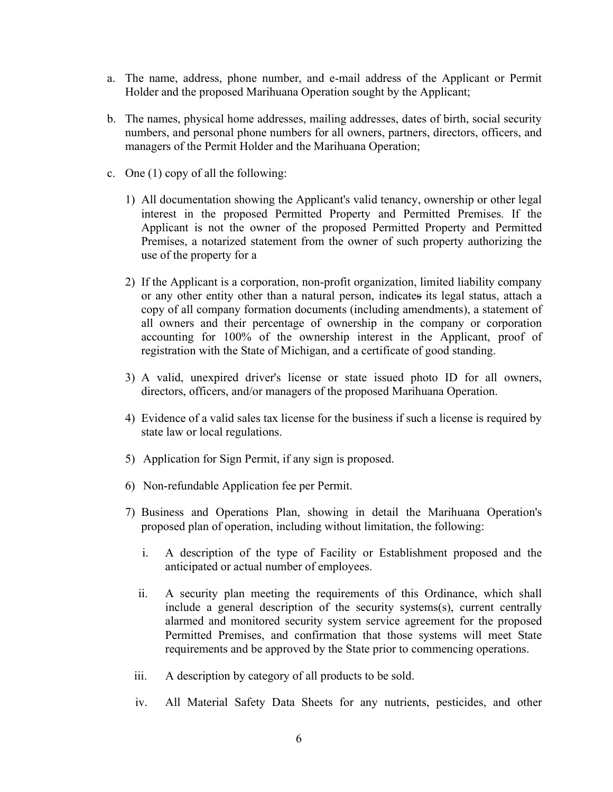- a. The name, address, phone number, and e-mail address of the Applicant or Permit Holder and the proposed Marihuana Operation sought by the Applicant;
- b. The names, physical home addresses, mailing addresses, dates of birth, social security numbers, and personal phone numbers for all owners, partners, directors, officers, and managers of the Permit Holder and the Marihuana Operation;
- c. One (1) copy of all the following:
	- 1) All documentation showing the Applicant's valid tenancy, ownership or other legal interest in the proposed Permitted Property and Permitted Premises. If the Applicant is not the owner of the proposed Permitted Property and Permitted Premises, a notarized statement from the owner of such property authorizing the use of the property for a
	- 2) If the Applicant is a corporation, non-profit organization, limited liability company or any other entity other than a natural person, indicates its legal status, attach a copy of all company formation documents (including amendments), a statement of all owners and their percentage of ownership in the company or corporation accounting for 100% of the ownership interest in the Applicant, proof of registration with the State of Michigan, and a certificate of good standing.
	- 3) A valid, unexpired driver's license or state issued photo ID for all owners, directors, officers, and/or managers of the proposed Marihuana Operation.
	- 4) Evidence of a valid sales tax license for the business if such a license is required by state law or local regulations.
	- 5) Application for Sign Permit, if any sign is proposed.
	- 6) Non-refundable Application fee per Permit.
	- 7) Business and Operations Plan, showing in detail the Marihuana Operation's proposed plan of operation, including without limitation, the following:
		- i. A description of the type of Facility or Establishment proposed and the anticipated or actual number of employees.
		- ii. A security plan meeting the requirements of this Ordinance, which shall include a general description of the security systems(s), current centrally alarmed and monitored security system service agreement for the proposed Permitted Premises, and confirmation that those systems will meet State requirements and be approved by the State prior to commencing operations.
		- iii. A description by category of all products to be sold.
		- iv. All Material Safety Data Sheets for any nutrients, pesticides, and other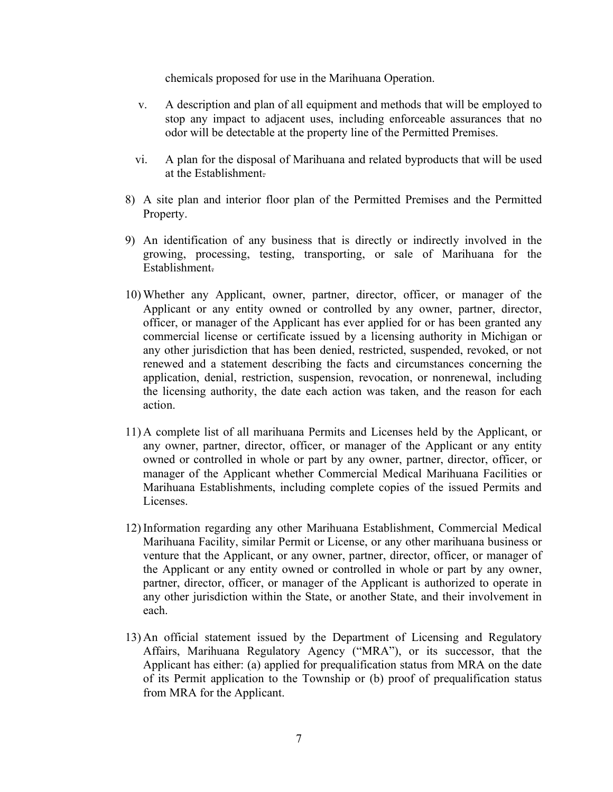chemicals proposed for use in the Marihuana Operation.

- v. A description and plan of all equipment and methods that will be employed to stop any impact to adjacent uses, including enforceable assurances that no odor will be detectable at the property line of the Permitted Premises.
- vi. A plan for the disposal of Marihuana and related byproducts that will be used at the Establishment.
- 8) A site plan and interior floor plan of the Permitted Premises and the Permitted Property.
- 9) An identification of any business that is directly or indirectly involved in the growing, processing, testing, transporting, or sale of Marihuana for the Establishment.
- 10) Whether any Applicant, owner, partner, director, officer, or manager of the Applicant or any entity owned or controlled by any owner, partner, director, officer, or manager of the Applicant has ever applied for or has been granted any commercial license or certificate issued by a licensing authority in Michigan or any other jurisdiction that has been denied, restricted, suspended, revoked, or not renewed and a statement describing the facts and circumstances concerning the application, denial, restriction, suspension, revocation, or nonrenewal, including the licensing authority, the date each action was taken, and the reason for each action.
- 11) A complete list of all marihuana Permits and Licenses held by the Applicant, or any owner, partner, director, officer, or manager of the Applicant or any entity owned or controlled in whole or part by any owner, partner, director, officer, or manager of the Applicant whether Commercial Medical Marihuana Facilities or Marihuana Establishments, including complete copies of the issued Permits and Licenses.
- 12) Information regarding any other Marihuana Establishment, Commercial Medical Marihuana Facility, similar Permit or License, or any other marihuana business or venture that the Applicant, or any owner, partner, director, officer, or manager of the Applicant or any entity owned or controlled in whole or part by any owner, partner, director, officer, or manager of the Applicant is authorized to operate in any other jurisdiction within the State, or another State, and their involvement in each.
- 13) An official statement issued by the Department of Licensing and Regulatory Affairs, Marihuana Regulatory Agency ("MRA"), or its successor, that the Applicant has either: (a) applied for prequalification status from MRA on the date of its Permit application to the Township or (b) proof of prequalification status from MRA for the Applicant.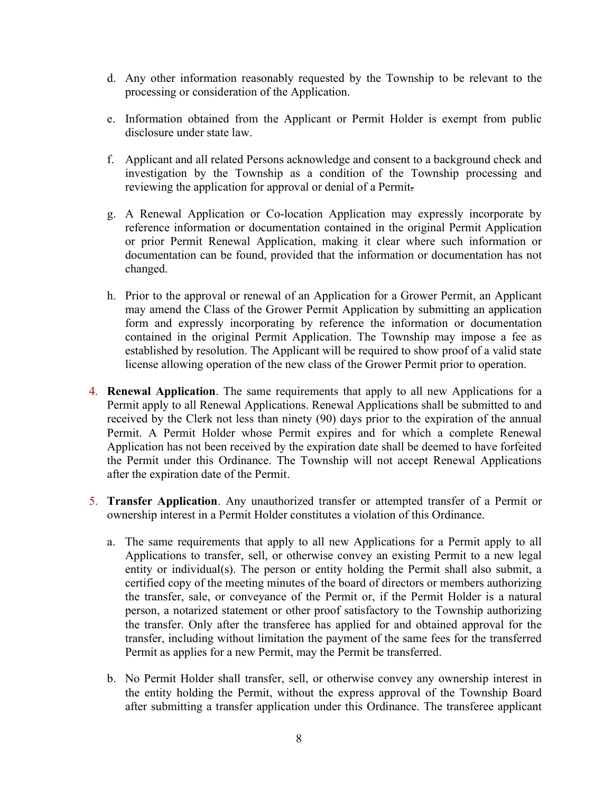- d. Any other information reasonably requested by the Township to be relevant to the processing or consideration of the Application.
- e. Information obtained from the Applicant or Permit Holder is exempt from public disclosure under state law.
- f. Applicant and all related Persons acknowledge and consent to a background check and investigation by the Township as a condition of the Township processing and reviewing the application for approval or denial of a Permit.
- g. A Renewal Application or Co-location Application may expressly incorporate by reference information or documentation contained in the original Permit Application or prior Permit Renewal Application, making it clear where such information or documentation can be found, provided that the information or documentation has not changed.
- h. Prior to the approval or renewal of an Application for a Grower Permit, an Applicant may amend the Class of the Grower Permit Application by submitting an application form and expressly incorporating by reference the information or documentation contained in the original Permit Application. The Township may impose a fee as established by resolution. The Applicant will be required to show proof of a valid state license allowing operation of the new class of the Grower Permit prior to operation.
- 4. Renewal Application. The same requirements that apply to all new Applications for a Permit apply to all Renewal Applications. Renewal Applications shall be submitted to and received by the Clerk not less than ninety (90) days prior to the expiration of the annual Permit. A Permit Holder whose Permit expires and for which a complete Renewal Application has not been received by the expiration date shall be deemed to have forfeited the Permit under this Ordinance. The Township will not accept Renewal Applications after the expiration date of the Permit.
- 5. Transfer Application. Any unauthorized transfer or attempted transfer of a Permit or ownership interest in a Permit Holder constitutes a violation of this Ordinance.
	- a. The same requirements that apply to all new Applications for a Permit apply to all Applications to transfer, sell, or otherwise convey an existing Permit to a new legal entity or individual(s). The person or entity holding the Permit shall also submit, a certified copy of the meeting minutes of the board of directors or members authorizing the transfer, sale, or conveyance of the Permit or, if the Permit Holder is a natural person, a notarized statement or other proof satisfactory to the Township authorizing the transfer. Only after the transferee has applied for and obtained approval for the transfer, including without limitation the payment of the same fees for the transferred Permit as applies for a new Permit, may the Permit be transferred.
	- b. No Permit Holder shall transfer, sell, or otherwise convey any ownership interest in the entity holding the Permit, without the express approval of the Township Board after submitting a transfer application under this Ordinance. The transferee applicant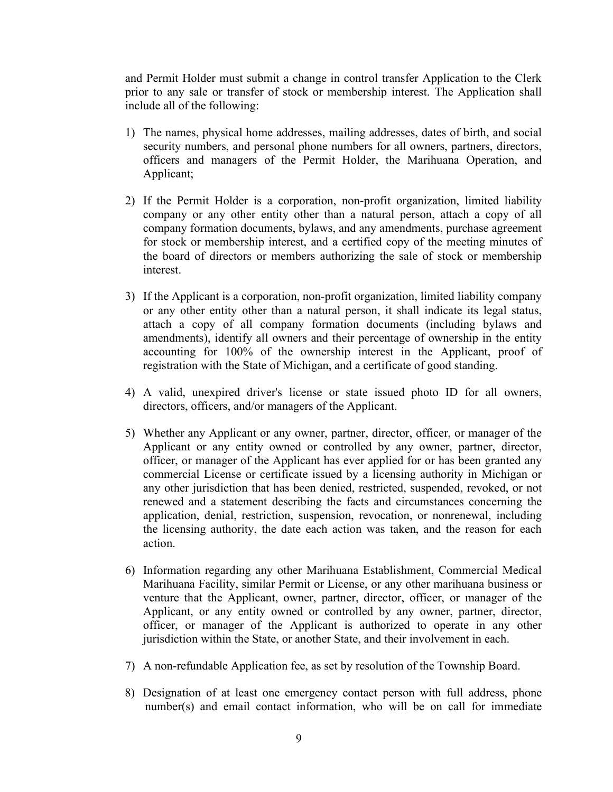and Permit Holder must submit a change in control transfer Application to the Clerk prior to any sale or transfer of stock or membership interest. The Application shall include all of the following:

- 1) The names, physical home addresses, mailing addresses, dates of birth, and social security numbers, and personal phone numbers for all owners, partners, directors, officers and managers of the Permit Holder, the Marihuana Operation, and Applicant;
- 2) If the Permit Holder is a corporation, non-profit organization, limited liability company or any other entity other than a natural person, attach a copy of all company formation documents, bylaws, and any amendments, purchase agreement for stock or membership interest, and a certified copy of the meeting minutes of the board of directors or members authorizing the sale of stock or membership interest.
- 3) If the Applicant is a corporation, non-profit organization, limited liability company or any other entity other than a natural person, it shall indicate its legal status, attach a copy of all company formation documents (including bylaws and amendments), identify all owners and their percentage of ownership in the entity accounting for 100% of the ownership interest in the Applicant, proof of registration with the State of Michigan, and a certificate of good standing.
- 4) A valid, unexpired driver's license or state issued photo ID for all owners, directors, officers, and/or managers of the Applicant.
- 5) Whether any Applicant or any owner, partner, director, officer, or manager of the Applicant or any entity owned or controlled by any owner, partner, director, officer, or manager of the Applicant has ever applied for or has been granted any commercial License or certificate issued by a licensing authority in Michigan or any other jurisdiction that has been denied, restricted, suspended, revoked, or not renewed and a statement describing the facts and circumstances concerning the application, denial, restriction, suspension, revocation, or nonrenewal, including the licensing authority, the date each action was taken, and the reason for each action.
- 6) Information regarding any other Marihuana Establishment, Commercial Medical Marihuana Facility, similar Permit or License, or any other marihuana business or venture that the Applicant, owner, partner, director, officer, or manager of the Applicant, or any entity owned or controlled by any owner, partner, director, officer, or manager of the Applicant is authorized to operate in any other jurisdiction within the State, or another State, and their involvement in each.
- 7) A non-refundable Application fee, as set by resolution of the Township Board.
- 8) Designation of at least one emergency contact person with full address, phone number(s) and email contact information, who will be on call for immediate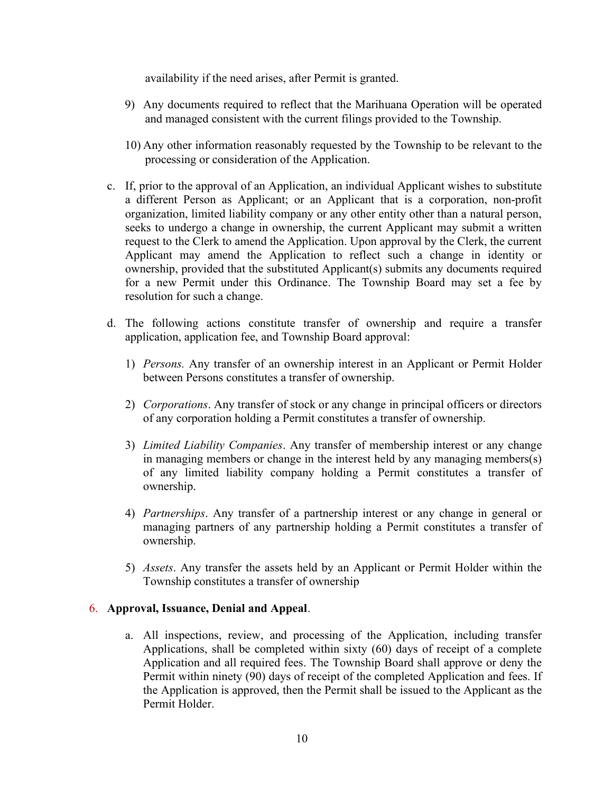availability if the need arises, after Permit is granted.

- 9) Any documents required to reflect that the Marihuana Operation will be operated and managed consistent with the current filings provided to the Township.
- 10) Any other information reasonably requested by the Township to be relevant to the processing or consideration of the Application.
- c. If, prior to the approval of an Application, an individual Applicant wishes to substitute a different Person as Applicant; or an Applicant that is a corporation, non-profit organization, limited liability company or any other entity other than a natural person, seeks to undergo a change in ownership, the current Applicant may submit a written request to the Clerk to amend the Application. Upon approval by the Clerk, the current Applicant may amend the Application to reflect such a change in identity or ownership, provided that the substituted Applicant(s) submits any documents required for a new Permit under this Ordinance. The Township Board may set a fee by resolution for such a change.
- d. The following actions constitute transfer of ownership and require a transfer application, application fee, and Township Board approval:
	- 1) Persons. Any transfer of an ownership interest in an Applicant or Permit Holder between Persons constitutes a transfer of ownership.
	- 2) Corporations. Any transfer of stock or any change in principal officers or directors of any corporation holding a Permit constitutes a transfer of ownership.
	- 3) Limited Liability Companies. Any transfer of membership interest or any change in managing members or change in the interest held by any managing members(s) of any limited liability company holding a Permit constitutes a transfer of ownership.
	- 4) Partnerships. Any transfer of a partnership interest or any change in general or managing partners of any partnership holding a Permit constitutes a transfer of ownership.
	- 5) Assets. Any transfer the assets held by an Applicant or Permit Holder within the Township constitutes a transfer of ownership

## 6. Approval, Issuance, Denial and Appeal.

a. All inspections, review, and processing of the Application, including transfer Applications, shall be completed within sixty (60) days of receipt of a complete Application and all required fees. The Township Board shall approve or deny the Permit within ninety (90) days of receipt of the completed Application and fees. If the Application is approved, then the Permit shall be issued to the Applicant as the Permit Holder.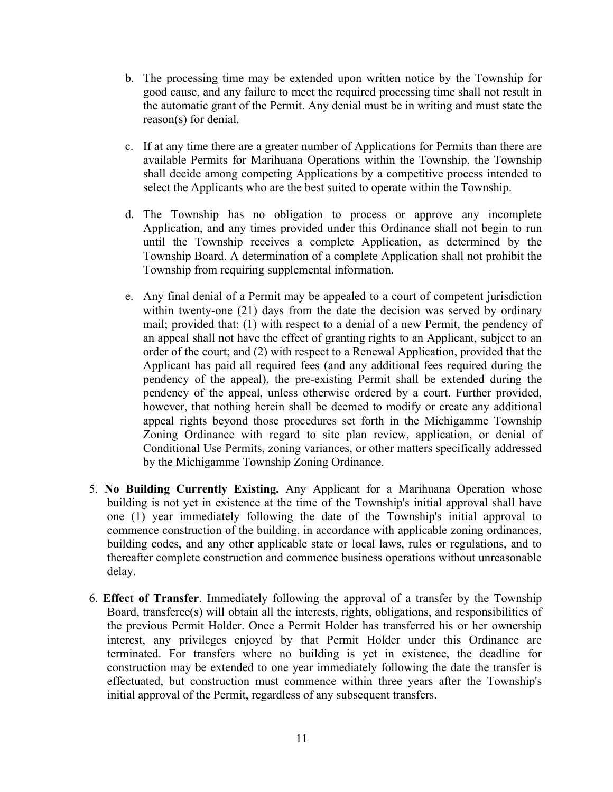- b. The processing time may be extended upon written notice by the Township for good cause, and any failure to meet the required processing time shall not result in the automatic grant of the Permit. Any denial must be in writing and must state the reason(s) for denial.
- c. If at any time there are a greater number of Applications for Permits than there are available Permits for Marihuana Operations within the Township, the Township shall decide among competing Applications by a competitive process intended to select the Applicants who are the best suited to operate within the Township.
- d. The Township has no obligation to process or approve any incomplete Application, and any times provided under this Ordinance shall not begin to run until the Township receives a complete Application, as determined by the Township Board. A determination of a complete Application shall not prohibit the Township from requiring supplemental information.
- e. Any final denial of a Permit may be appealed to a court of competent jurisdiction within twenty-one (21) days from the date the decision was served by ordinary mail; provided that: (1) with respect to a denial of a new Permit, the pendency of an appeal shall not have the effect of granting rights to an Applicant, subject to an order of the court; and (2) with respect to a Renewal Application, provided that the Applicant has paid all required fees (and any additional fees required during the pendency of the appeal), the pre-existing Permit shall be extended during the pendency of the appeal, unless otherwise ordered by a court. Further provided, however, that nothing herein shall be deemed to modify or create any additional appeal rights beyond those procedures set forth in the Michigamme Township Zoning Ordinance with regard to site plan review, application, or denial of Conditional Use Permits, zoning variances, or other matters specifically addressed by the Michigamme Township Zoning Ordinance.
- 5. No Building Currently Existing. Any Applicant for a Marihuana Operation whose building is not yet in existence at the time of the Township's initial approval shall have one (1) year immediately following the date of the Township's initial approval to commence construction of the building, in accordance with applicable zoning ordinances, building codes, and any other applicable state or local laws, rules or regulations, and to thereafter complete construction and commence business operations without unreasonable delay.
- 6. Effect of Transfer. Immediately following the approval of a transfer by the Township Board, transferee(s) will obtain all the interests, rights, obligations, and responsibilities of the previous Permit Holder. Once a Permit Holder has transferred his or her ownership interest, any privileges enjoyed by that Permit Holder under this Ordinance are terminated. For transfers where no building is yet in existence, the deadline for construction may be extended to one year immediately following the date the transfer is effectuated, but construction must commence within three years after the Township's initial approval of the Permit, regardless of any subsequent transfers.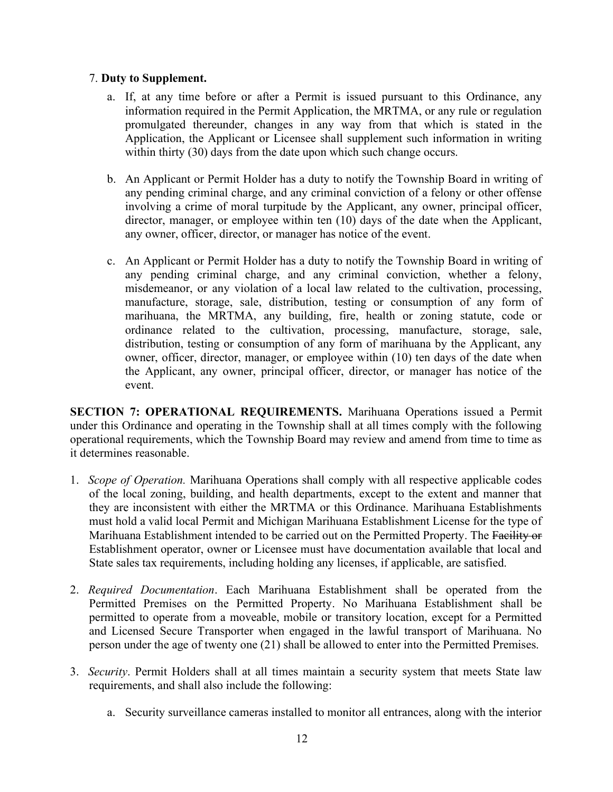#### 7. Duty to Supplement.

- a. If, at any time before or after a Permit is issued pursuant to this Ordinance, any information required in the Permit Application, the MRTMA, or any rule or regulation promulgated thereunder, changes in any way from that which is stated in the Application, the Applicant or Licensee shall supplement such information in writing within thirty (30) days from the date upon which such change occurs.
- b. An Applicant or Permit Holder has a duty to notify the Township Board in writing of any pending criminal charge, and any criminal conviction of a felony or other offense involving a crime of moral turpitude by the Applicant, any owner, principal officer, director, manager, or employee within ten (10) days of the date when the Applicant, any owner, officer, director, or manager has notice of the event.
- c. An Applicant or Permit Holder has a duty to notify the Township Board in writing of any pending criminal charge, and any criminal conviction, whether a felony, misdemeanor, or any violation of a local law related to the cultivation, processing, manufacture, storage, sale, distribution, testing or consumption of any form of marihuana, the MRTMA, any building, fire, health or zoning statute, code or ordinance related to the cultivation, processing, manufacture, storage, sale, distribution, testing or consumption of any form of marihuana by the Applicant, any owner, officer, director, manager, or employee within (10) ten days of the date when the Applicant, any owner, principal officer, director, or manager has notice of the event.

SECTION 7: OPERATIONAL REQUIREMENTS. Marihuana Operations issued a Permit under this Ordinance and operating in the Township shall at all times comply with the following operational requirements, which the Township Board may review and amend from time to time as it determines reasonable.

- 1. Scope of Operation. Marihuana Operations shall comply with all respective applicable codes of the local zoning, building, and health departments, except to the extent and manner that they are inconsistent with either the MRTMA or this Ordinance. Marihuana Establishments must hold a valid local Permit and Michigan Marihuana Establishment License for the type of Marihuana Establishment intended to be carried out on the Permitted Property. The Facility or Establishment operator, owner or Licensee must have documentation available that local and State sales tax requirements, including holding any licenses, if applicable, are satisfied.
- 2. Required Documentation. Each Marihuana Establishment shall be operated from the Permitted Premises on the Permitted Property. No Marihuana Establishment shall be permitted to operate from a moveable, mobile or transitory location, except for a Permitted and Licensed Secure Transporter when engaged in the lawful transport of Marihuana. No person under the age of twenty one (21) shall be allowed to enter into the Permitted Premises.
- 3. Security. Permit Holders shall at all times maintain a security system that meets State law requirements, and shall also include the following:
	- a. Security surveillance cameras installed to monitor all entrances, along with the interior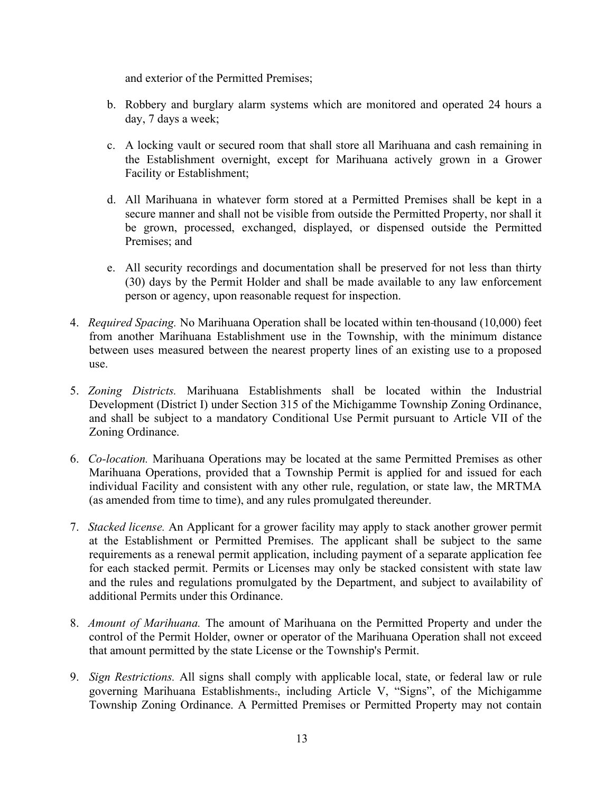and exterior of the Permitted Premises;

- b. Robbery and burglary alarm systems which are monitored and operated 24 hours a day, 7 days a week;
- c. A locking vault or secured room that shall store all Marihuana and cash remaining in the Establishment overnight, except for Marihuana actively grown in a Grower Facility or Establishment;
- d. All Marihuana in whatever form stored at a Permitted Premises shall be kept in a secure manner and shall not be visible from outside the Permitted Property, nor shall it be grown, processed, exchanged, displayed, or dispensed outside the Permitted Premises; and
- e. All security recordings and documentation shall be preserved for not less than thirty (30) days by the Permit Holder and shall be made available to any law enforcement person or agency, upon reasonable request for inspection.
- 4. *Required Spacing*. No Marihuana Operation shall be located within ten-thousand (10,000) feet from another Marihuana Establishment use in the Township, with the minimum distance between uses measured between the nearest property lines of an existing use to a proposed use.
- 5. Zoning Districts. Marihuana Establishments shall be located within the Industrial Development (District I) under Section 315 of the Michigamme Township Zoning Ordinance, and shall be subject to a mandatory Conditional Use Permit pursuant to Article VII of the Zoning Ordinance.
- 6. Co-location. Marihuana Operations may be located at the same Permitted Premises as other Marihuana Operations, provided that a Township Permit is applied for and issued for each individual Facility and consistent with any other rule, regulation, or state law, the MRTMA (as amended from time to time), and any rules promulgated thereunder.
- 7. Stacked license. An Applicant for a grower facility may apply to stack another grower permit at the Establishment or Permitted Premises. The applicant shall be subject to the same requirements as a renewal permit application, including payment of a separate application fee for each stacked permit. Permits or Licenses may only be stacked consistent with state law and the rules and regulations promulgated by the Department, and subject to availability of additional Permits under this Ordinance.
- 8. Amount of Marihuana. The amount of Marihuana on the Permitted Property and under the control of the Permit Holder, owner or operator of the Marihuana Operation shall not exceed that amount permitted by the state License or the Township's Permit.
- 9. Sign Restrictions. All signs shall comply with applicable local, state, or federal law or rule governing Marihuana Establishments., including Article V, "Signs", of the Michigamme Township Zoning Ordinance. A Permitted Premises or Permitted Property may not contain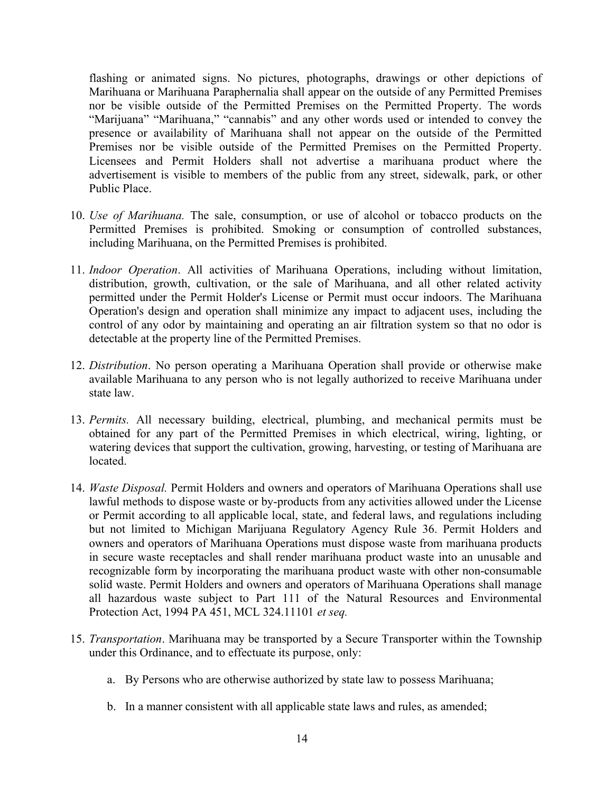flashing or animated signs. No pictures, photographs, drawings or other depictions of Marihuana or Marihuana Paraphernalia shall appear on the outside of any Permitted Premises nor be visible outside of the Permitted Premises on the Permitted Property. The words "Marijuana" "Marihuana," "cannabis" and any other words used or intended to convey the presence or availability of Marihuana shall not appear on the outside of the Permitted Premises nor be visible outside of the Permitted Premises on the Permitted Property. Licensees and Permit Holders shall not advertise a marihuana product where the advertisement is visible to members of the public from any street, sidewalk, park, or other Public Place.

- 10. Use of Marihuana. The sale, consumption, or use of alcohol or tobacco products on the Permitted Premises is prohibited. Smoking or consumption of controlled substances, including Marihuana, on the Permitted Premises is prohibited.
- 11. Indoor Operation. All activities of Marihuana Operations, including without limitation, distribution, growth, cultivation, or the sale of Marihuana, and all other related activity permitted under the Permit Holder's License or Permit must occur indoors. The Marihuana Operation's design and operation shall minimize any impact to adjacent uses, including the control of any odor by maintaining and operating an air filtration system so that no odor is detectable at the property line of the Permitted Premises.
- 12. Distribution. No person operating a Marihuana Operation shall provide or otherwise make available Marihuana to any person who is not legally authorized to receive Marihuana under state law.
- 13. Permits. All necessary building, electrical, plumbing, and mechanical permits must be obtained for any part of the Permitted Premises in which electrical, wiring, lighting, or watering devices that support the cultivation, growing, harvesting, or testing of Marihuana are located.
- 14. *Waste Disposal*. Permit Holders and owners and operators of Marihuana Operations shall use lawful methods to dispose waste or by-products from any activities allowed under the License or Permit according to all applicable local, state, and federal laws, and regulations including but not limited to Michigan Marijuana Regulatory Agency Rule 36. Permit Holders and owners and operators of Marihuana Operations must dispose waste from marihuana products in secure waste receptacles and shall render marihuana product waste into an unusable and recognizable form by incorporating the marihuana product waste with other non-consumable solid waste. Permit Holders and owners and operators of Marihuana Operations shall manage all hazardous waste subject to Part 111 of the Natural Resources and Environmental Protection Act, 1994 PA 451, MCL 324.11101 et seq.
- 15. Transportation. Marihuana may be transported by a Secure Transporter within the Township under this Ordinance, and to effectuate its purpose, only:
	- a. By Persons who are otherwise authorized by state law to possess Marihuana;
	- b. In a manner consistent with all applicable state laws and rules, as amended;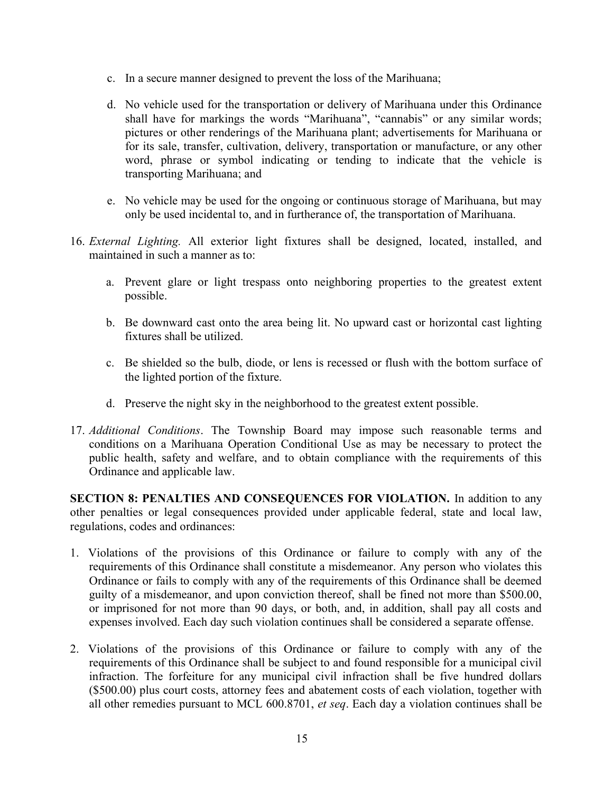- c. In a secure manner designed to prevent the loss of the Marihuana;
- d. No vehicle used for the transportation or delivery of Marihuana under this Ordinance shall have for markings the words "Marihuana", "cannabis" or any similar words; pictures or other renderings of the Marihuana plant; advertisements for Marihuana or for its sale, transfer, cultivation, delivery, transportation or manufacture, or any other word, phrase or symbol indicating or tending to indicate that the vehicle is transporting Marihuana; and
- e. No vehicle may be used for the ongoing or continuous storage of Marihuana, but may only be used incidental to, and in furtherance of, the transportation of Marihuana.
- 16. External Lighting. All exterior light fixtures shall be designed, located, installed, and maintained in such a manner as to:
	- a. Prevent glare or light trespass onto neighboring properties to the greatest extent possible.
	- b. Be downward cast onto the area being lit. No upward cast or horizontal cast lighting fixtures shall be utilized.
	- c. Be shielded so the bulb, diode, or lens is recessed or flush with the bottom surface of the lighted portion of the fixture.
	- d. Preserve the night sky in the neighborhood to the greatest extent possible.
- 17. Additional Conditions. The Township Board may impose such reasonable terms and conditions on a Marihuana Operation Conditional Use as may be necessary to protect the public health, safety and welfare, and to obtain compliance with the requirements of this Ordinance and applicable law.

SECTION 8: PENALTIES AND CONSEQUENCES FOR VIOLATION. In addition to any other penalties or legal consequences provided under applicable federal, state and local law, regulations, codes and ordinances:

- 1. Violations of the provisions of this Ordinance or failure to comply with any of the requirements of this Ordinance shall constitute a misdemeanor. Any person who violates this Ordinance or fails to comply with any of the requirements of this Ordinance shall be deemed guilty of a misdemeanor, and upon conviction thereof, shall be fined not more than \$500.00, or imprisoned for not more than 90 days, or both, and, in addition, shall pay all costs and expenses involved. Each day such violation continues shall be considered a separate offense.
- 2. Violations of the provisions of this Ordinance or failure to comply with any of the requirements of this Ordinance shall be subject to and found responsible for a municipal civil infraction. The forfeiture for any municipal civil infraction shall be five hundred dollars (\$500.00) plus court costs, attorney fees and abatement costs of each violation, together with all other remedies pursuant to MCL  $600.8701$ , et seq. Each day a violation continues shall be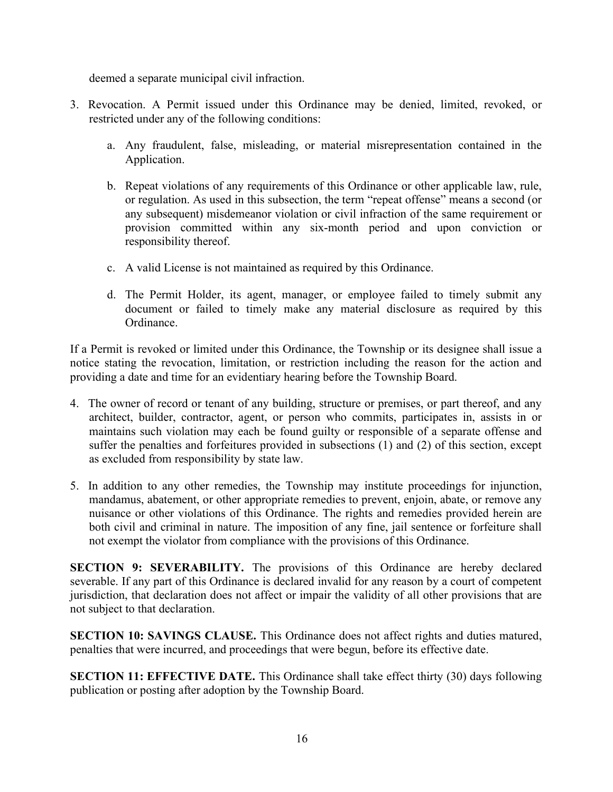deemed a separate municipal civil infraction.

- 3. Revocation. A Permit issued under this Ordinance may be denied, limited, revoked, or restricted under any of the following conditions:
	- a. Any fraudulent, false, misleading, or material misrepresentation contained in the Application.
	- b. Repeat violations of any requirements of this Ordinance or other applicable law, rule, or regulation. As used in this subsection, the term "repeat offense" means a second (or any subsequent) misdemeanor violation or civil infraction of the same requirement or provision committed within any six-month period and upon conviction or responsibility thereof.
	- c. A valid License is not maintained as required by this Ordinance.
	- d. The Permit Holder, its agent, manager, or employee failed to timely submit any document or failed to timely make any material disclosure as required by this Ordinance.

If a Permit is revoked or limited under this Ordinance, the Township or its designee shall issue a notice stating the revocation, limitation, or restriction including the reason for the action and providing a date and time for an evidentiary hearing before the Township Board.

- 4. The owner of record or tenant of any building, structure or premises, or part thereof, and any architect, builder, contractor, agent, or person who commits, participates in, assists in or maintains such violation may each be found guilty or responsible of a separate offense and suffer the penalties and forfeitures provided in subsections (1) and (2) of this section, except as excluded from responsibility by state law.
- 5. In addition to any other remedies, the Township may institute proceedings for injunction, mandamus, abatement, or other appropriate remedies to prevent, enjoin, abate, or remove any nuisance or other violations of this Ordinance. The rights and remedies provided herein are both civil and criminal in nature. The imposition of any fine, jail sentence or forfeiture shall not exempt the violator from compliance with the provisions of this Ordinance.

SECTION 9: SEVERABILITY. The provisions of this Ordinance are hereby declared severable. If any part of this Ordinance is declared invalid for any reason by a court of competent jurisdiction, that declaration does not affect or impair the validity of all other provisions that are not subject to that declaration.

SECTION 10: SAVINGS CLAUSE. This Ordinance does not affect rights and duties matured, penalties that were incurred, and proceedings that were begun, before its effective date.

SECTION 11: EFFECTIVE DATE. This Ordinance shall take effect thirty (30) days following publication or posting after adoption by the Township Board.